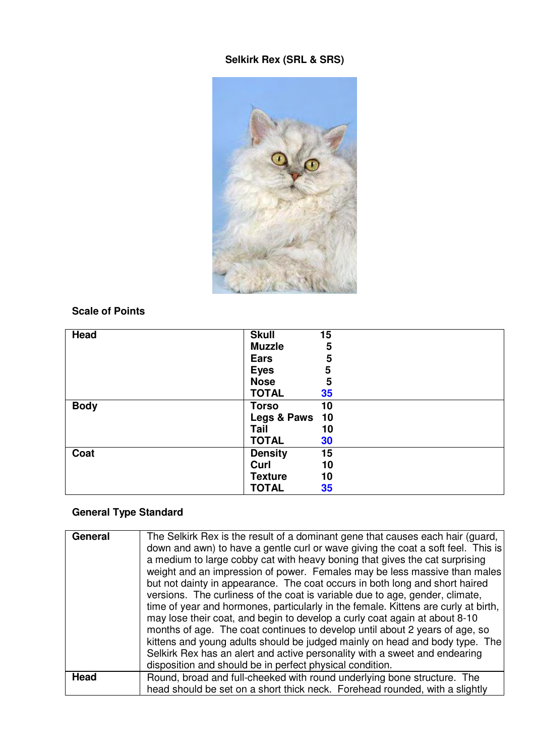## **Selkirk Rex (SRL & SRS)**



### **Scale of Points**

| Head        | <b>Skull</b>   | 15 |
|-------------|----------------|----|
|             | <b>Muzzle</b>  | 5  |
|             | Ears           | 5  |
|             | <b>Eyes</b>    | 5  |
|             | <b>Nose</b>    | 5  |
|             | <b>TOTAL</b>   | 35 |
| <b>Body</b> | <b>Torso</b>   | 10 |
|             | Legs & Paws 10 |    |
|             | Tail           | 10 |
|             | <b>TOTAL</b>   | 30 |
| Coat        | <b>Density</b> | 15 |
|             | Curl           | 10 |
|             | <b>Texture</b> | 10 |
|             | <b>TOTAL</b>   | 35 |

#### **General Type Standard**

| General | The Selkirk Rex is the result of a dominant gene that causes each hair (guard,<br>down and awn) to have a gentle curl or wave giving the coat a soft feel. This is<br>a medium to large cobby cat with heavy boning that gives the cat surprising<br>weight and an impression of power. Females may be less massive than males<br>but not dainty in appearance. The coat occurs in both long and short haired<br>versions. The curliness of the coat is variable due to age, gender, climate,<br>time of year and hormones, particularly in the female. Kittens are curly at birth,<br>may lose their coat, and begin to develop a curly coat again at about 8-10<br>months of age. The coat continues to develop until about 2 years of age, so<br>kittens and young adults should be judged mainly on head and body type. The<br>Selkirk Rex has an alert and active personality with a sweet and endearing<br>disposition and should be in perfect physical condition. |
|---------|---------------------------------------------------------------------------------------------------------------------------------------------------------------------------------------------------------------------------------------------------------------------------------------------------------------------------------------------------------------------------------------------------------------------------------------------------------------------------------------------------------------------------------------------------------------------------------------------------------------------------------------------------------------------------------------------------------------------------------------------------------------------------------------------------------------------------------------------------------------------------------------------------------------------------------------------------------------------------|
| Head    | Round, broad and full-cheeked with round underlying bone structure. The                                                                                                                                                                                                                                                                                                                                                                                                                                                                                                                                                                                                                                                                                                                                                                                                                                                                                                   |
|         |                                                                                                                                                                                                                                                                                                                                                                                                                                                                                                                                                                                                                                                                                                                                                                                                                                                                                                                                                                           |
|         | head should be set on a short thick neck. Forehead rounded, with a slightly                                                                                                                                                                                                                                                                                                                                                                                                                                                                                                                                                                                                                                                                                                                                                                                                                                                                                               |